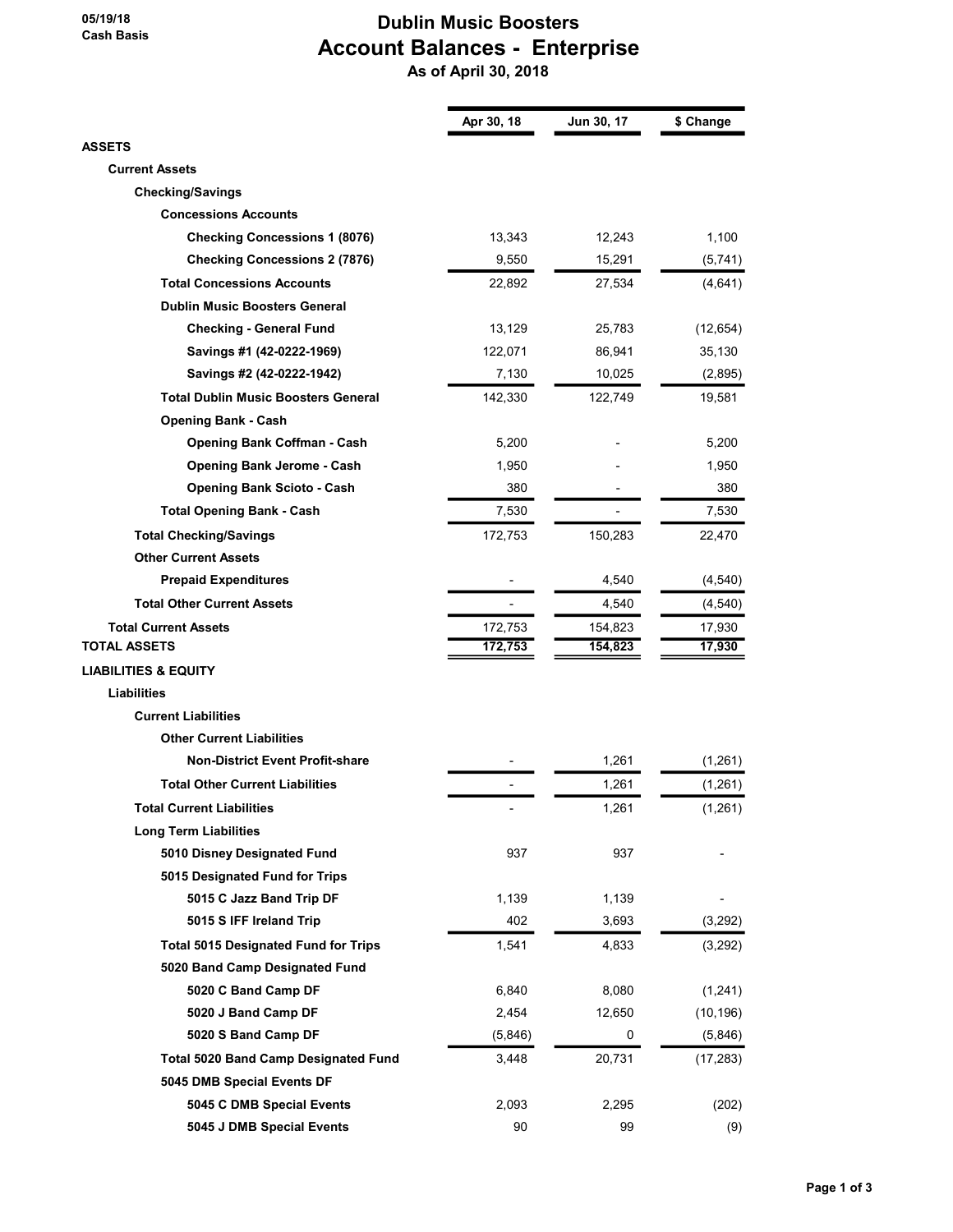#### 05/19/18 Cash Basis

#### Dublin Music Boosters Account Balances - Enterprise As of April 30, 2018

|                                             | Apr 30, 18 | Jun 30, 17 | \$ Change |
|---------------------------------------------|------------|------------|-----------|
| <b>ASSETS</b>                               |            |            |           |
| <b>Current Assets</b>                       |            |            |           |
| <b>Checking/Savings</b>                     |            |            |           |
| <b>Concessions Accounts</b>                 |            |            |           |
| <b>Checking Concessions 1 (8076)</b>        | 13,343     | 12,243     | 1,100     |
| <b>Checking Concessions 2 (7876)</b>        | 9,550      | 15,291     | (5,741)   |
| <b>Total Concessions Accounts</b>           | 22,892     | 27,534     | (4,641)   |
| <b>Dublin Music Boosters General</b>        |            |            |           |
| <b>Checking - General Fund</b>              | 13,129     | 25,783     | (12, 654) |
| Savings #1 (42-0222-1969)                   | 122,071    | 86,941     | 35,130    |
| Savings #2 (42-0222-1942)                   | 7,130      | 10,025     | (2,895)   |
| <b>Total Dublin Music Boosters General</b>  | 142,330    | 122,749    | 19,581    |
| <b>Opening Bank - Cash</b>                  |            |            |           |
| <b>Opening Bank Coffman - Cash</b>          | 5,200      |            | 5,200     |
| <b>Opening Bank Jerome - Cash</b>           | 1,950      |            | 1,950     |
| <b>Opening Bank Scioto - Cash</b>           | 380        |            | 380       |
| <b>Total Opening Bank - Cash</b>            | 7,530      |            | 7,530     |
| <b>Total Checking/Savings</b>               | 172,753    | 150,283    | 22,470    |
| <b>Other Current Assets</b>                 |            |            |           |
| <b>Prepaid Expenditures</b>                 |            | 4,540      | (4, 540)  |
| <b>Total Other Current Assets</b>           |            | 4,540      | (4, 540)  |
| <b>Total Current Assets</b>                 | 172,753    | 154,823    | 17,930    |
| <b>TOTAL ASSETS</b>                         | 172,753    | 154,823    | 17,930    |
| <b>LIABILITIES &amp; EQUITY</b>             |            |            |           |
| <b>Liabilities</b>                          |            |            |           |
| <b>Current Liabilities</b>                  |            |            |           |
| <b>Other Current Liabilities</b>            |            |            |           |
| <b>Non-District Event Profit-share</b>      |            | 1,261      | (1, 261)  |
| <b>Total Other Current Liabilities</b>      |            | 1,261      | (1,261)   |
| <b>Total Current Liabilities</b>            |            | 1,261      | (1, 261)  |
| <b>Long Term Liabilities</b>                |            |            |           |
| 5010 Disney Designated Fund                 | 937        | 937        |           |
| 5015 Designated Fund for Trips              |            |            |           |
| 5015 C Jazz Band Trip DF                    | 1,139      | 1,139      |           |
| 5015 S IFF Ireland Trip                     | 402        | 3,693      | (3, 292)  |
| <b>Total 5015 Designated Fund for Trips</b> | 1,541      | 4,833      | (3, 292)  |
| 5020 Band Camp Designated Fund              |            |            |           |
| 5020 C Band Camp DF                         | 6,840      | 8,080      | (1, 241)  |
| 5020 J Band Camp DF                         | 2,454      | 12,650     | (10, 196) |
| 5020 S Band Camp DF                         | (5,846)    | 0          | (5,846)   |
|                                             |            |            |           |
| <b>Total 5020 Band Camp Designated Fund</b> | 3,448      | 20,731     | (17, 283) |
| 5045 DMB Special Events DF                  |            |            |           |
| 5045 C DMB Special Events                   | 2,093      | 2,295      | (202)     |
| 5045 J DMB Special Events                   | 90         | 99         | (9)       |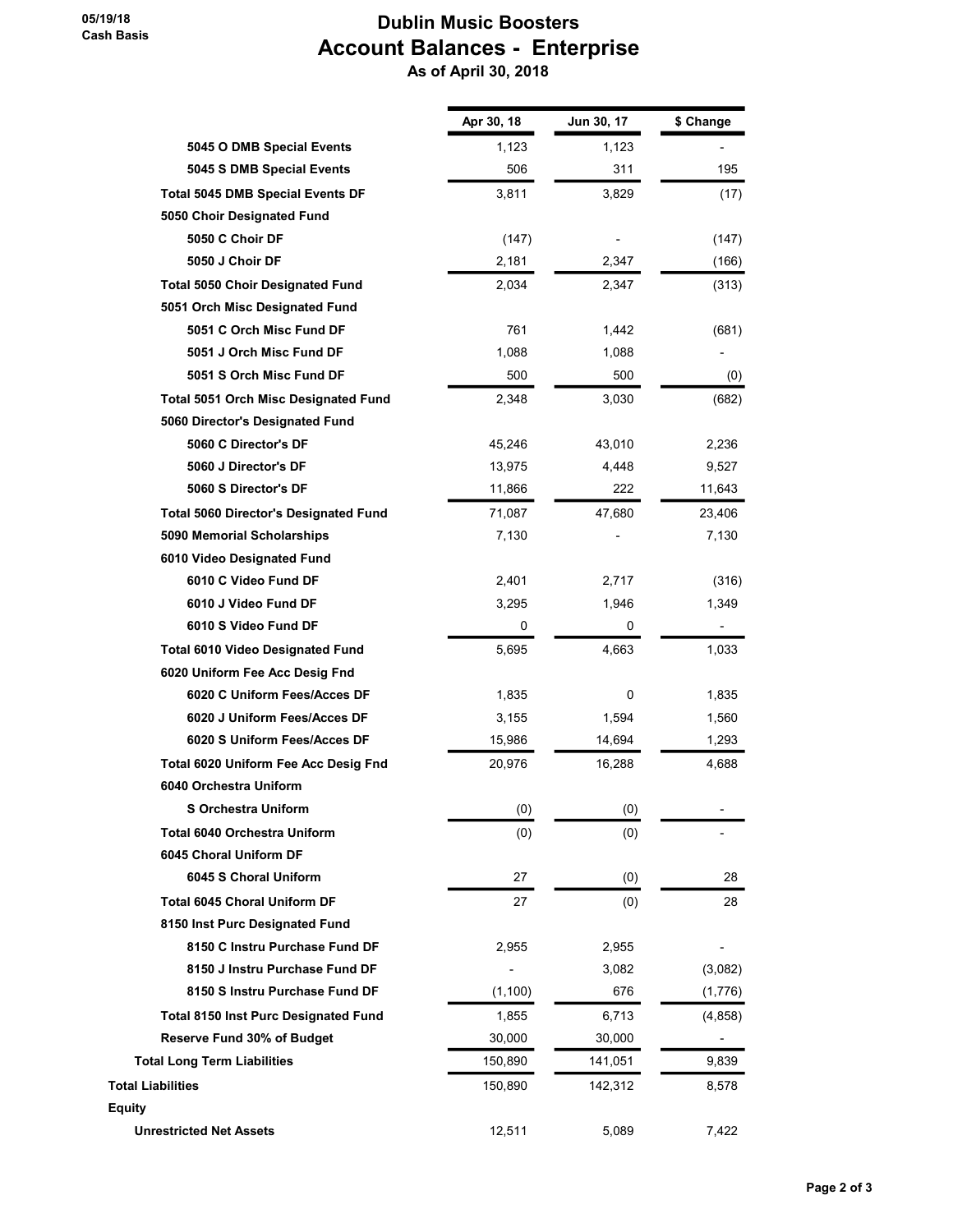#### Dublin Music Boosters Account Balances - Enterprise As of April 30, 2018

|                                              | Apr 30, 18 | Jun 30, 17 | \$ Change |
|----------------------------------------------|------------|------------|-----------|
| 5045 O DMB Special Events                    | 1,123      | 1,123      |           |
| 5045 S DMB Special Events                    | 506        | 311        | 195       |
| <b>Total 5045 DMB Special Events DF</b>      | 3,811      | 3,829      | (17)      |
| 5050 Choir Designated Fund                   |            |            |           |
| 5050 C Choir DF                              | (147)      |            | (147)     |
| 5050 J Choir DF                              | 2,181      | 2,347      | (166)     |
| <b>Total 5050 Choir Designated Fund</b>      | 2,034      | 2,347      | (313)     |
| 5051 Orch Misc Designated Fund               |            |            |           |
| 5051 C Orch Misc Fund DF                     | 761        | 1,442      | (681)     |
| 5051 J Orch Misc Fund DF                     | 1,088      | 1,088      |           |
| 5051 S Orch Misc Fund DF                     | 500        | 500        | (0)       |
| <b>Total 5051 Orch Misc Designated Fund</b>  | 2,348      | 3,030      | (682)     |
| 5060 Director's Designated Fund              |            |            |           |
| 5060 C Director's DF                         | 45,246     | 43,010     | 2,236     |
| 5060 J Director's DF                         | 13,975     | 4,448      | 9,527     |
| 5060 S Director's DF                         | 11,866     | 222        | 11,643    |
| <b>Total 5060 Director's Designated Fund</b> | 71,087     | 47,680     | 23,406    |
| 5090 Memorial Scholarships                   | 7,130      |            | 7,130     |
| 6010 Video Designated Fund                   |            |            |           |
| 6010 C Video Fund DF                         | 2,401      | 2,717      | (316)     |
| 6010 J Video Fund DF                         | 3,295      | 1,946      | 1,349     |
| 6010 S Video Fund DF                         | 0          | 0          |           |
| <b>Total 6010 Video Designated Fund</b>      | 5,695      | 4,663      | 1,033     |
| 6020 Uniform Fee Acc Desig Fnd               |            |            |           |
| 6020 C Uniform Fees/Acces DF                 | 1,835      | 0          | 1,835     |
| 6020 J Uniform Fees/Acces DF                 | 3,155      | 1,594      | 1,560     |
| 6020 S Uniform Fees/Acces DF                 | 15,986     | 14,694     | 1,293     |
| Total 6020 Uniform Fee Acc Desig Fnd         | 20,976     | 16,288     | 4,688     |
| 6040 Orchestra Uniform                       |            |            |           |
| <b>S Orchestra Uniform</b>                   | (0)        | (0)        | ٠         |
| <b>Total 6040 Orchestra Uniform</b>          | (0)        | (0)        |           |
| 6045 Choral Uniform DF                       |            |            |           |
| 6045 S Choral Uniform                        | 27         | (0)        | 28        |
| <b>Total 6045 Choral Uniform DF</b>          | 27         | (0)        | 28        |
| 8150 Inst Purc Designated Fund               |            |            |           |
| 8150 C Instru Purchase Fund DF               | 2,955      | 2,955      |           |
| 8150 J Instru Purchase Fund DF               |            | 3,082      | (3,082)   |
| 8150 S Instru Purchase Fund DF               | (1, 100)   | 676        | (1,776)   |
| <b>Total 8150 Inst Purc Designated Fund</b>  | 1,855      | 6,713      | (4, 858)  |
| <b>Reserve Fund 30% of Budget</b>            | 30,000     | 30,000     |           |
| <b>Total Long Term Liabilities</b>           | 150,890    | 141,051    | 9,839     |
| <b>Total Liabilities</b>                     | 150,890    | 142,312    | 8,578     |
| <b>Equity</b>                                |            |            |           |
| <b>Unrestricted Net Assets</b>               | 12,511     | 5,089      | 7,422     |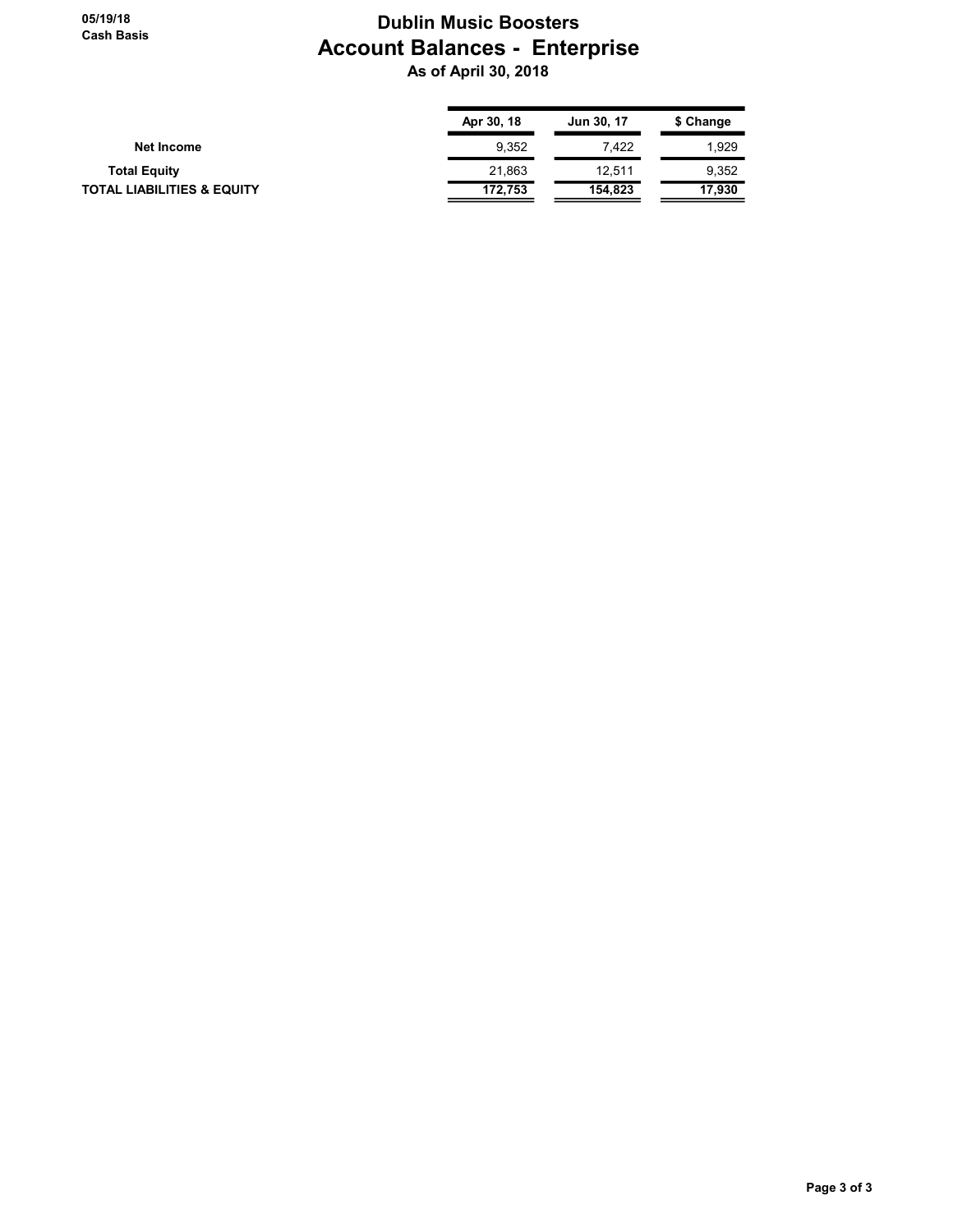#### Dublin Music Boosters Account Balances - Enterprise As of April 30, 2018

|                                       | Apr 30, 18 | Jun 30, 17 | \$ Change |
|---------------------------------------|------------|------------|-----------|
| Net Income                            | 9.352      | 7.422      | 1.929     |
| <b>Total Equity</b>                   | 21,863     | 12.511     | 9,352     |
| <b>TOTAL LIABILITIES &amp; EQUITY</b> | 172.753    | 154,823    | 17,930    |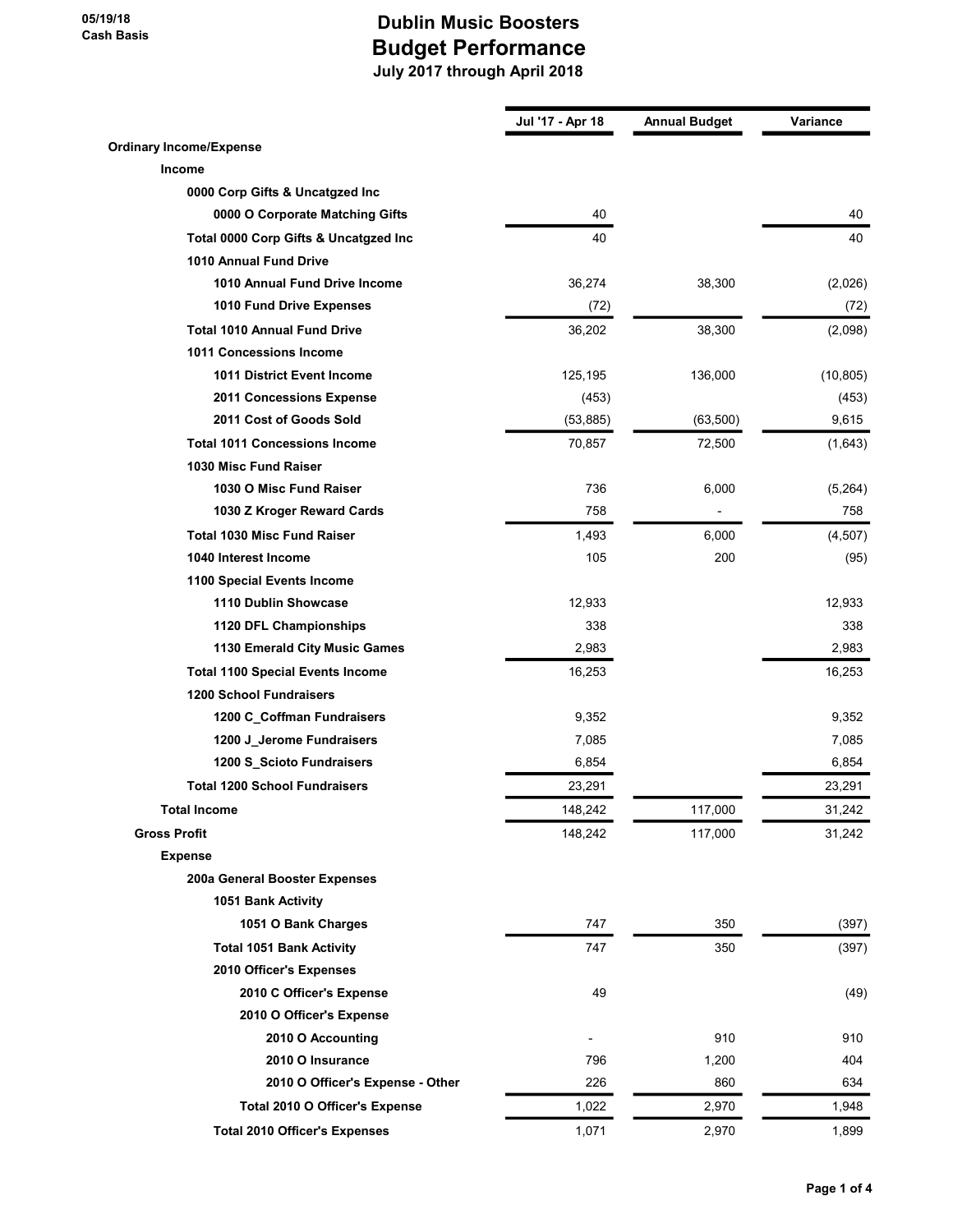|                                         | Jul '17 - Apr 18 | <b>Annual Budget</b> | <b>Variance</b> |
|-----------------------------------------|------------------|----------------------|-----------------|
| <b>Ordinary Income/Expense</b>          |                  |                      |                 |
| Income                                  |                  |                      |                 |
| 0000 Corp Gifts & Uncatgzed Inc         |                  |                      |                 |
| 0000 O Corporate Matching Gifts         | 40               |                      | 40              |
| Total 0000 Corp Gifts & Uncatgzed Inc   | 40               |                      | 40              |
| 1010 Annual Fund Drive                  |                  |                      |                 |
| 1010 Annual Fund Drive Income           | 36,274           | 38,300               | (2,026)         |
| 1010 Fund Drive Expenses                | (72)             |                      | (72)            |
| <b>Total 1010 Annual Fund Drive</b>     | 36,202           | 38,300               | (2,098)         |
| 1011 Concessions Income                 |                  |                      |                 |
| <b>1011 District Event Income</b>       | 125,195          | 136,000              | (10, 805)       |
| 2011 Concessions Expense                | (453)            |                      | (453)           |
| 2011 Cost of Goods Sold                 | (53, 885)        | (63, 500)            | 9,615           |
| <b>Total 1011 Concessions Income</b>    | 70,857           | 72,500               | (1,643)         |
| 1030 Misc Fund Raiser                   |                  |                      |                 |
| 1030 O Misc Fund Raiser                 | 736              | 6,000                | (5,264)         |
| 1030 Z Kroger Reward Cards              | 758              |                      | 758             |
| <b>Total 1030 Misc Fund Raiser</b>      | 1,493            | 6,000                | (4,507)         |
| 1040 Interest Income                    | 105              | 200                  | (95)            |
| 1100 Special Events Income              |                  |                      |                 |
| 1110 Dublin Showcase                    | 12,933           |                      | 12,933          |
| 1120 DFL Championships                  | 338              |                      | 338             |
| 1130 Emerald City Music Games           | 2,983            |                      | 2,983           |
| <b>Total 1100 Special Events Income</b> | 16,253           |                      | 16,253          |
| <b>1200 School Fundraisers</b>          |                  |                      |                 |
| 1200 C_Coffman Fundraisers              | 9,352            |                      | 9,352           |
| 1200 J_Jerome Fundraisers               | 7,085            |                      | 7,085           |
| 1200 S_Scioto Fundraisers               | 6,854            |                      | 6,854           |
| <b>Total 1200 School Fundraisers</b>    | 23,291           |                      | 23,291          |
| <b>Total Income</b>                     | 148,242          | 117,000              | 31,242          |
| <b>Gross Profit</b>                     | 148,242          | 117,000              | 31,242          |
| <b>Expense</b>                          |                  |                      |                 |
| 200a General Booster Expenses           |                  |                      |                 |
| 1051 Bank Activity                      |                  |                      |                 |
| 1051 O Bank Charges                     | 747              | 350                  | (397)           |
| <b>Total 1051 Bank Activity</b>         | 747              | 350                  | (397)           |
| 2010 Officer's Expenses                 |                  |                      |                 |
| 2010 C Officer's Expense                | 49               |                      | (49)            |
| 2010 O Officer's Expense                |                  |                      |                 |
| 2010 O Accounting                       |                  | 910                  | 910             |
| 2010 O Insurance                        | 796              | 1,200                | 404             |
| 2010 O Officer's Expense - Other        | 226              | 860                  | 634             |
| Total 2010 O Officer's Expense          | 1,022            | 2,970                | 1,948           |
| <b>Total 2010 Officer's Expenses</b>    | 1,071            | 2,970                | 1,899           |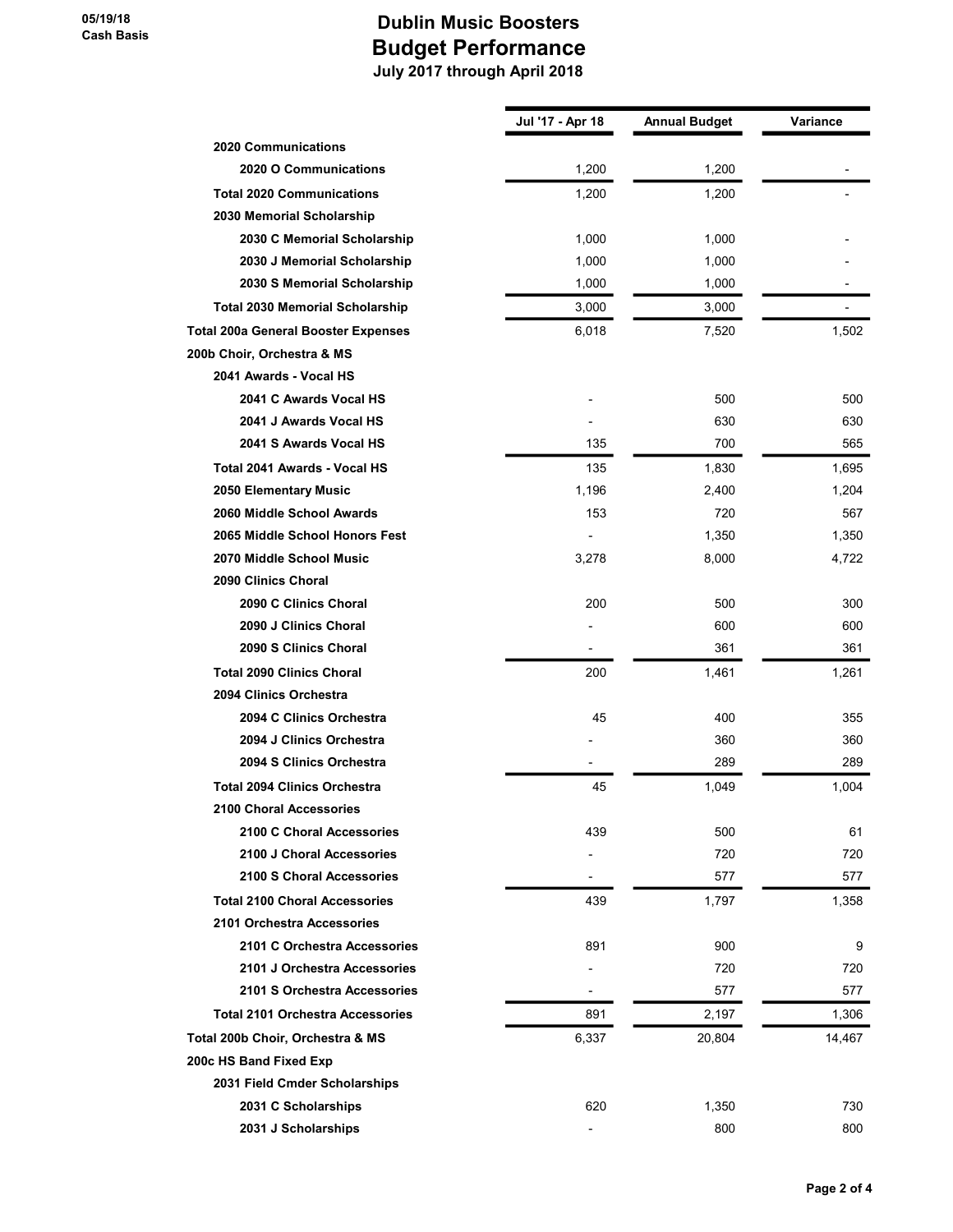|                                            | Jul '17 - Apr 18 | <b>Annual Budget</b> | Variance |
|--------------------------------------------|------------------|----------------------|----------|
| <b>2020 Communications</b>                 |                  |                      |          |
| 2020 O Communications                      | 1,200            | 1,200                |          |
| <b>Total 2020 Communications</b>           | 1,200            | 1,200                |          |
| 2030 Memorial Scholarship                  |                  |                      |          |
| 2030 C Memorial Scholarship                | 1,000            | 1,000                |          |
| 2030 J Memorial Scholarship                | 1,000            | 1,000                |          |
| 2030 S Memorial Scholarship                | 1,000            | 1,000                |          |
| <b>Total 2030 Memorial Scholarship</b>     | 3,000            | 3,000                |          |
| <b>Total 200a General Booster Expenses</b> | 6,018            | 7,520                | 1,502    |
| 200b Choir, Orchestra & MS                 |                  |                      |          |
| 2041 Awards - Vocal HS                     |                  |                      |          |
| 2041 C Awards Vocal HS                     |                  | 500                  | 500      |
| 2041 J Awards Vocal HS                     |                  | 630                  | 630      |
| 2041 S Awards Vocal HS                     | 135              | 700                  | 565      |
| <b>Total 2041 Awards - Vocal HS</b>        | 135              | 1,830                | 1,695    |
| 2050 Elementary Music                      | 1,196            | 2,400                | 1,204    |
| 2060 Middle School Awards                  | 153              | 720                  | 567      |
| 2065 Middle School Honors Fest             |                  | 1,350                | 1,350    |
| 2070 Middle School Music                   | 3,278            | 8,000                | 4,722    |
| 2090 Clinics Choral                        |                  |                      |          |
| 2090 C Clinics Choral                      | 200              | 500                  | 300      |
| 2090 J Clinics Choral                      |                  | 600                  | 600      |
| 2090 S Clinics Choral                      | $\blacksquare$   | 361                  | 361      |
| <b>Total 2090 Clinics Choral</b>           | 200              | 1,461                | 1,261    |
| 2094 Clinics Orchestra                     |                  |                      |          |
| 2094 C Clinics Orchestra                   | 45               | 400                  | 355      |
| 2094 J Clinics Orchestra                   |                  | 360                  | 360      |
| 2094 S Clinics Orchestra                   |                  | 289                  | 289      |
| <b>Total 2094 Clinics Orchestra</b>        | 45               | 1,049                | 1,004    |
| 2100 Choral Accessories                    |                  |                      |          |
| 2100 C Choral Accessories                  | 439              | 500                  | 61       |
| 2100 J Choral Accessories                  |                  | 720                  | 720      |
| 2100 S Choral Accessories                  |                  | 577                  | 577      |
| <b>Total 2100 Choral Accessories</b>       | 439              | 1,797                | 1,358    |
| 2101 Orchestra Accessories                 |                  |                      |          |
| 2101 C Orchestra Accessories               | 891              | 900                  | 9        |
| 2101 J Orchestra Accessories               |                  | 720                  | 720      |
| 2101 S Orchestra Accessories               |                  | 577                  | 577      |
| <b>Total 2101 Orchestra Accessories</b>    | 891              | 2,197                | 1,306    |
| Total 200b Choir, Orchestra & MS           | 6,337            | 20,804               | 14,467   |
| 200c HS Band Fixed Exp                     |                  |                      |          |
| 2031 Field Cmder Scholarships              |                  |                      |          |
| 2031 C Scholarships                        | 620              | 1,350                | 730      |
| 2031 J Scholarships                        |                  | 800                  | 800      |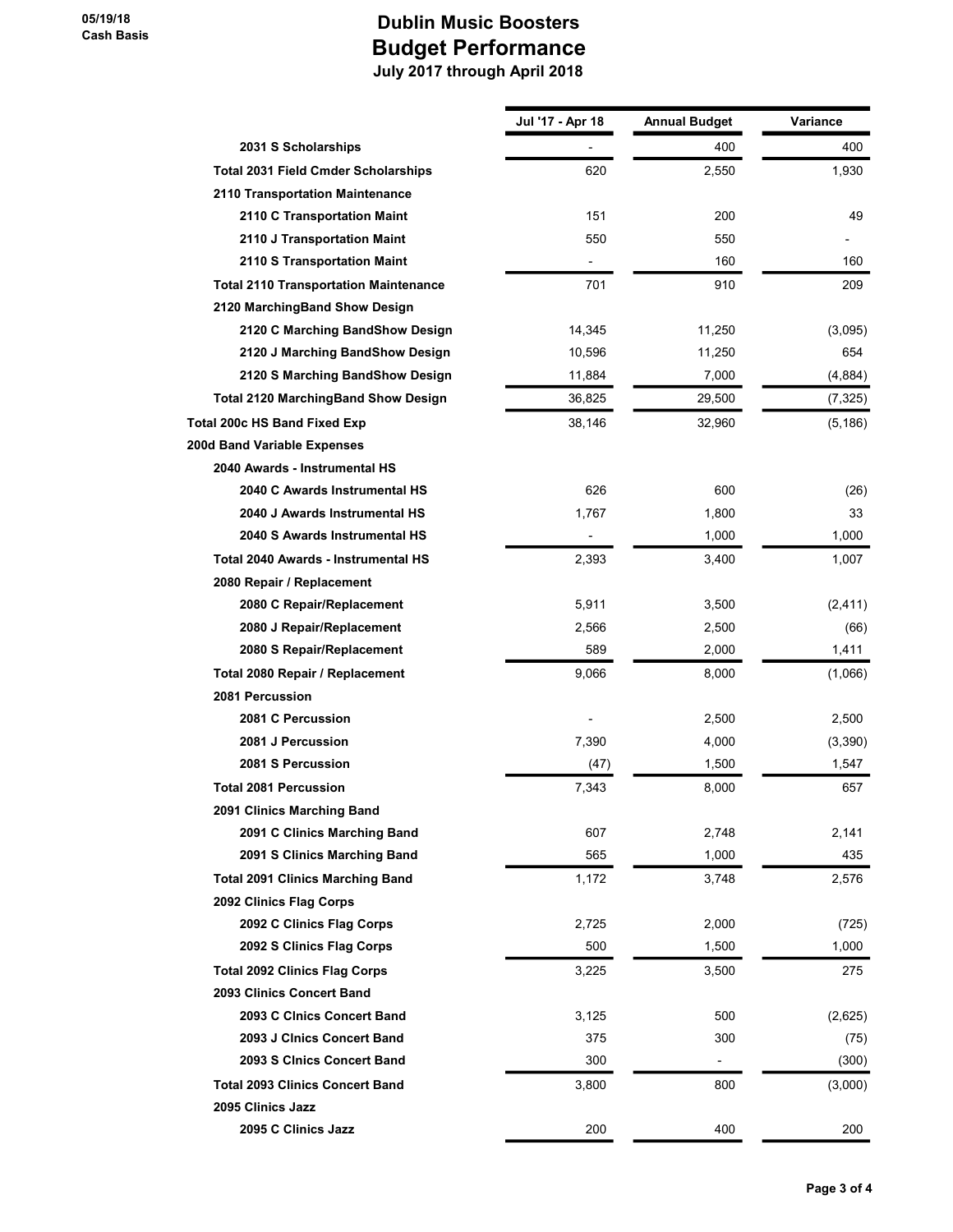|                                              | Jul '17 - Apr 18 | <b>Annual Budget</b> | Variance |
|----------------------------------------------|------------------|----------------------|----------|
| 2031 S Scholarships                          |                  | 400                  | 400      |
| <b>Total 2031 Field Cmder Scholarships</b>   | 620              | 2,550                | 1,930    |
| 2110 Transportation Maintenance              |                  |                      |          |
| 2110 C Transportation Maint                  | 151              | 200                  | 49       |
| 2110 J Transportation Maint                  | 550              | 550                  |          |
| 2110 S Transportation Maint                  |                  | 160                  | 160      |
| <b>Total 2110 Transportation Maintenance</b> | 701              | 910                  | 209      |
| 2120 MarchingBand Show Design                |                  |                      |          |
| 2120 C Marching BandShow Design              | 14,345           | 11,250               | (3,095)  |
| 2120 J Marching BandShow Design              | 10,596           | 11,250               | 654      |
| 2120 S Marching BandShow Design              | 11,884           | 7,000                | (4,884)  |
| <b>Total 2120 MarchingBand Show Design</b>   | 36,825           | 29,500               | (7, 325) |
| Total 200c HS Band Fixed Exp                 | 38,146           | 32,960               | (5, 186) |
| 200d Band Variable Expenses                  |                  |                      |          |
| 2040 Awards - Instrumental HS                |                  |                      |          |
| 2040 C Awards Instrumental HS                | 626              | 600                  | (26)     |
| 2040 J Awards Instrumental HS                | 1,767            | 1,800                | 33       |
| 2040 S Awards Instrumental HS                | $\overline{a}$   | 1,000                | 1,000    |
| Total 2040 Awards - Instrumental HS          | 2,393            | 3,400                | 1,007    |
| 2080 Repair / Replacement                    |                  |                      |          |
| 2080 C Repair/Replacement                    | 5,911            | 3,500                | (2, 411) |
| 2080 J Repair/Replacement                    | 2,566            | 2,500                | (66)     |
| 2080 S Repair/Replacement                    | 589              | 2,000                | 1,411    |
| Total 2080 Repair / Replacement              | 9,066            | 8,000                | (1,066)  |
| 2081 Percussion                              |                  |                      |          |
| 2081 C Percussion                            |                  | 2,500                | 2,500    |
| 2081 J Percussion                            | 7,390            | 4,000                | (3,390)  |
| 2081 S Percussion                            | (47)             | 1,500                | 1,547    |
| <b>Total 2081 Percussion</b>                 | 7,343            | 8,000                | 657      |
| 2091 Clinics Marching Band                   |                  |                      |          |
| 2091 C Clinics Marching Band                 | 607              | 2,748                | 2,141    |
| 2091 S Clinics Marching Band                 | 565              | 1,000                | 435      |
| <b>Total 2091 Clinics Marching Band</b>      | 1,172            | 3,748                | 2,576    |
| 2092 Clinics Flag Corps                      |                  |                      |          |
| 2092 C Clinics Flag Corps                    | 2,725            | 2,000                | (725)    |
| 2092 S Clinics Flag Corps                    | 500              | 1,500                | 1,000    |
| <b>Total 2092 Clinics Flag Corps</b>         | 3,225            | 3,500                | 275      |
| 2093 Clinics Concert Band                    |                  |                      |          |
| 2093 C Cinics Concert Band                   | 3,125            | 500                  | (2,625)  |
| 2093 J Clnics Concert Band                   | 375              | 300                  | (75)     |
| 2093 S CInics Concert Band                   | 300              | -                    | (300)    |
| <b>Total 2093 Clinics Concert Band</b>       | 3,800            | 800                  | (3,000)  |
| 2095 Clinics Jazz                            |                  |                      |          |
| 2095 C Clinics Jazz                          | 200              | 400                  | 200      |
|                                              |                  |                      |          |